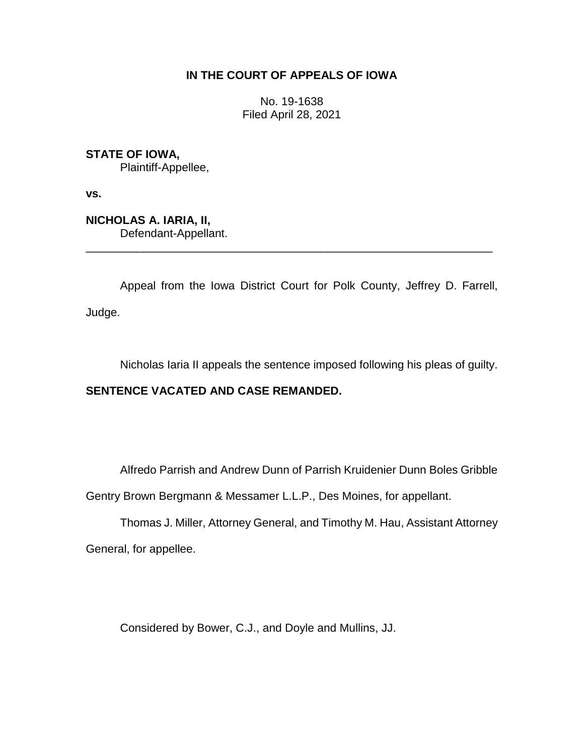## **IN THE COURT OF APPEALS OF IOWA**

No. 19-1638 Filed April 28, 2021

**STATE OF IOWA,** Plaintiff-Appellee,

**vs.**

**NICHOLAS A. IARIA, II,** Defendant-Appellant. \_\_\_\_\_\_\_\_\_\_\_\_\_\_\_\_\_\_\_\_\_\_\_\_\_\_\_\_\_\_\_\_\_\_\_\_\_\_\_\_\_\_\_\_\_\_\_\_\_\_\_\_\_\_\_\_\_\_\_\_\_\_\_\_

Appeal from the Iowa District Court for Polk County, Jeffrey D. Farrell, Judge.

Nicholas Iaria II appeals the sentence imposed following his pleas of guilty.

## **SENTENCE VACATED AND CASE REMANDED.**

Alfredo Parrish and Andrew Dunn of Parrish Kruidenier Dunn Boles Gribble

Gentry Brown Bergmann & Messamer L.L.P., Des Moines, for appellant.

Thomas J. Miller, Attorney General, and Timothy M. Hau, Assistant Attorney General, for appellee.

Considered by Bower, C.J., and Doyle and Mullins, JJ.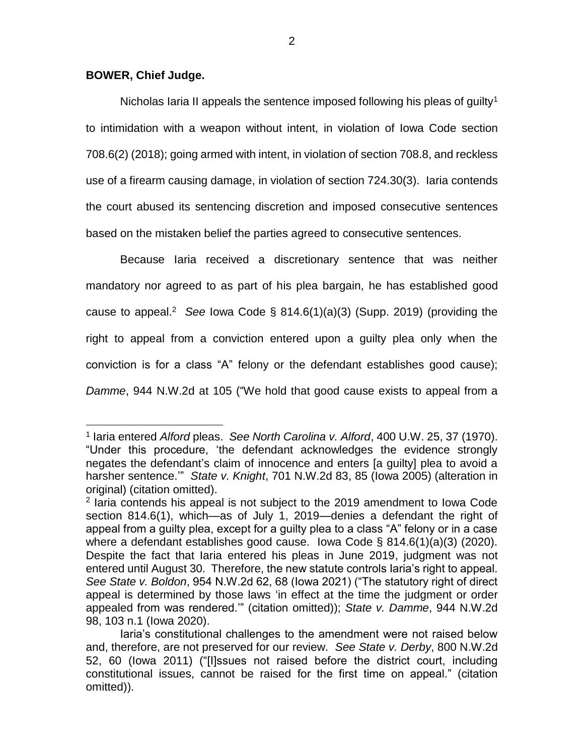## **BOWER, Chief Judge.**

 $\overline{a}$ 

Nicholas Iaria II appeals the sentence imposed following his pleas of guilty<sup>1</sup> to intimidation with a weapon without intent, in violation of Iowa Code section 708.6(2) (2018); going armed with intent, in violation of section 708.8, and reckless use of a firearm causing damage, in violation of section 724.30(3). Iaria contends the court abused its sentencing discretion and imposed consecutive sentences based on the mistaken belief the parties agreed to consecutive sentences.

Because Iaria received a discretionary sentence that was neither mandatory nor agreed to as part of his plea bargain, he has established good cause to appeal.<sup>2</sup> See Iowa Code § 814.6(1)(a)(3) (Supp. 2019) (providing the right to appeal from a conviction entered upon a guilty plea only when the conviction is for a class "A" felony or the defendant establishes good cause); *Damme*, 944 N.W.2d at 105 ("We hold that good cause exists to appeal from a

<sup>1</sup> Iaria entered *Alford* pleas. *See North Carolina v. Alford*, 400 U.W. 25, 37 (1970). "Under this procedure, 'the defendant acknowledges the evidence strongly negates the defendant's claim of innocence and enters [a guilty] plea to avoid a harsher sentence.'" *State v. Knight*, 701 N.W.2d 83, 85 (Iowa 2005) (alteration in original) (citation omitted).

<sup>&</sup>lt;sup>2</sup> Iaria contends his appeal is not subject to the 2019 amendment to Iowa Code section 814.6(1), which—as of July 1, 2019—denies a defendant the right of appeal from a guilty plea, except for a guilty plea to a class "A" felony or in a case where a defendant establishes good cause. Iowa Code § 814.6(1)(a)(3) (2020). Despite the fact that Iaria entered his pleas in June 2019, judgment was not entered until August 30. Therefore, the new statute controls Iaria's right to appeal. *See State v. Boldon*, 954 N.W.2d 62, 68 (Iowa 2021) ("The statutory right of direct appeal is determined by those laws 'in effect at the time the judgment or order appealed from was rendered.'" (citation omitted)); *State v. Damme*, 944 N.W.2d 98, 103 n.1 (Iowa 2020).

Iaria's constitutional challenges to the amendment were not raised below and, therefore, are not preserved for our review. *See State v. Derby*, 800 N.W.2d 52, 60 (Iowa 2011) ("[I]ssues not raised before the district court, including constitutional issues, cannot be raised for the first time on appeal." (citation omitted)).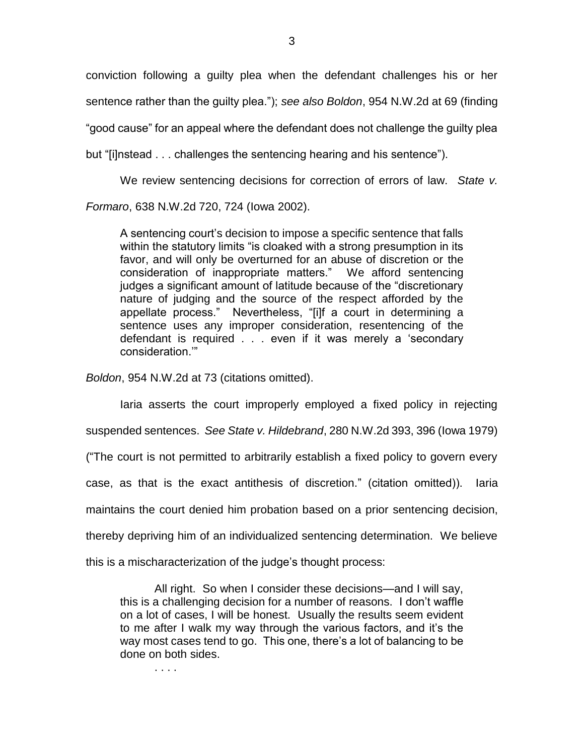conviction following a guilty plea when the defendant challenges his or her sentence rather than the guilty plea."); *see also Boldon*, 954 N.W.2d at 69 (finding "good cause" for an appeal where the defendant does not challenge the guilty plea but "[i]nstead . . . challenges the sentencing hearing and his sentence").

We review sentencing decisions for correction of errors of law. *State v.* 

*Formaro*, 638 N.W.2d 720, 724 (Iowa 2002).

A sentencing court's decision to impose a specific sentence that falls within the statutory limits "is cloaked with a strong presumption in its favor, and will only be overturned for an abuse of discretion or the consideration of inappropriate matters." We afford sentencing judges a significant amount of latitude because of the "discretionary nature of judging and the source of the respect afforded by the appellate process." Nevertheless, "[i]f a court in determining a sentence uses any improper consideration, resentencing of the defendant is required . . . even if it was merely a 'secondary consideration.'"

*Boldon*, 954 N.W.2d at 73 (citations omitted).

Iaria asserts the court improperly employed a fixed policy in rejecting suspended sentences. *See State v. Hildebrand*, 280 N.W.2d 393, 396 (Iowa 1979) ("The court is not permitted to arbitrarily establish a fixed policy to govern every case, as that is the exact antithesis of discretion." (citation omitted)). Iaria maintains the court denied him probation based on a prior sentencing decision, thereby depriving him of an individualized sentencing determination. We believe this is a mischaracterization of the judge's thought process:

All right. So when I consider these decisions—and I will say, this is a challenging decision for a number of reasons. I don't waffle on a lot of cases, I will be honest. Usually the results seem evident to me after I walk my way through the various factors, and it's the way most cases tend to go. This one, there's a lot of balancing to be done on both sides.

. . . .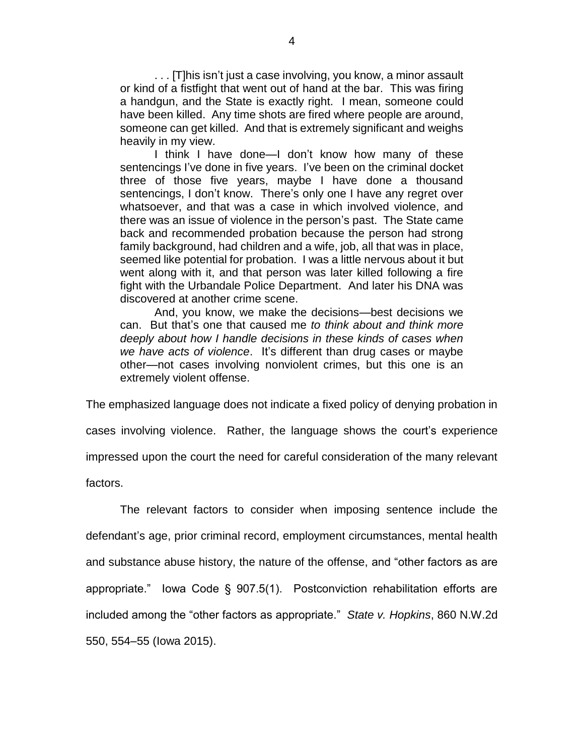. . . [T]his isn't just a case involving, you know, a minor assault or kind of a fistfight that went out of hand at the bar. This was firing a handgun, and the State is exactly right. I mean, someone could have been killed. Any time shots are fired where people are around, someone can get killed. And that is extremely significant and weighs heavily in my view.

I think I have done—I don't know how many of these sentencings I've done in five years. I've been on the criminal docket three of those five years, maybe I have done a thousand sentencings, I don't know. There's only one I have any regret over whatsoever, and that was a case in which involved violence, and there was an issue of violence in the person's past. The State came back and recommended probation because the person had strong family background, had children and a wife, job, all that was in place, seemed like potential for probation. I was a little nervous about it but went along with it, and that person was later killed following a fire fight with the Urbandale Police Department. And later his DNA was discovered at another crime scene.

And, you know, we make the decisions—best decisions we can. But that's one that caused me *to think about and think more deeply about how I handle decisions in these kinds of cases when we have acts of violence*. It's different than drug cases or maybe other—not cases involving nonviolent crimes, but this one is an extremely violent offense.

The emphasized language does not indicate a fixed policy of denying probation in cases involving violence. Rather, the language shows the court's experience impressed upon the court the need for careful consideration of the many relevant factors.

The relevant factors to consider when imposing sentence include the defendant's age, prior criminal record, employment circumstances, mental health and substance abuse history, the nature of the offense, and "other factors as are appropriate." Iowa Code § 907.5(1). Postconviction rehabilitation efforts are included among the "other factors as appropriate." *State v. Hopkins*, 860 N.W.2d 550, 554–55 (Iowa 2015).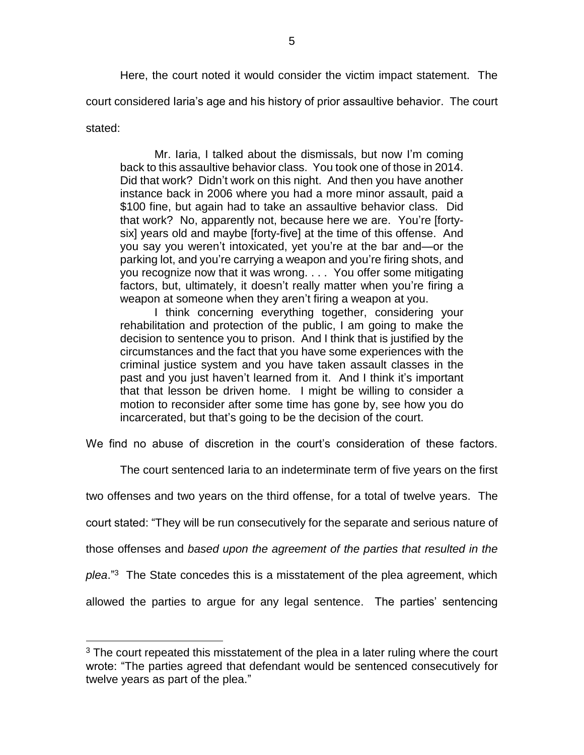Here, the court noted it would consider the victim impact statement. The court considered Iaria's age and his history of prior assaultive behavior. The court stated:

Mr. Iaria, I talked about the dismissals, but now I'm coming back to this assaultive behavior class. You took one of those in 2014. Did that work? Didn't work on this night. And then you have another instance back in 2006 where you had a more minor assault, paid a \$100 fine, but again had to take an assaultive behavior class. Did that work? No, apparently not, because here we are. You're [fortysix] years old and maybe [forty-five] at the time of this offense. And you say you weren't intoxicated, yet you're at the bar and—or the parking lot, and you're carrying a weapon and you're firing shots, and you recognize now that it was wrong. . . . You offer some mitigating factors, but, ultimately, it doesn't really matter when you're firing a weapon at someone when they aren't firing a weapon at you.

I think concerning everything together, considering your rehabilitation and protection of the public, I am going to make the decision to sentence you to prison. And I think that is justified by the circumstances and the fact that you have some experiences with the criminal justice system and you have taken assault classes in the past and you just haven't learned from it. And I think it's important that that lesson be driven home. I might be willing to consider a motion to reconsider after some time has gone by, see how you do incarcerated, but that's going to be the decision of the court.

We find no abuse of discretion in the court's consideration of these factors.

The court sentenced Iaria to an indeterminate term of five years on the first

two offenses and two years on the third offense, for a total of twelve years. The

court stated: "They will be run consecutively for the separate and serious nature of

those offenses and *based upon the agreement of the parties that resulted in the* 

*plea*." <sup>3</sup> The State concedes this is a misstatement of the plea agreement, which

allowed the parties to argue for any legal sentence. The parties' sentencing

 $\overline{a}$ 

 $3$  The court repeated this misstatement of the plea in a later ruling where the court wrote: "The parties agreed that defendant would be sentenced consecutively for twelve years as part of the plea."